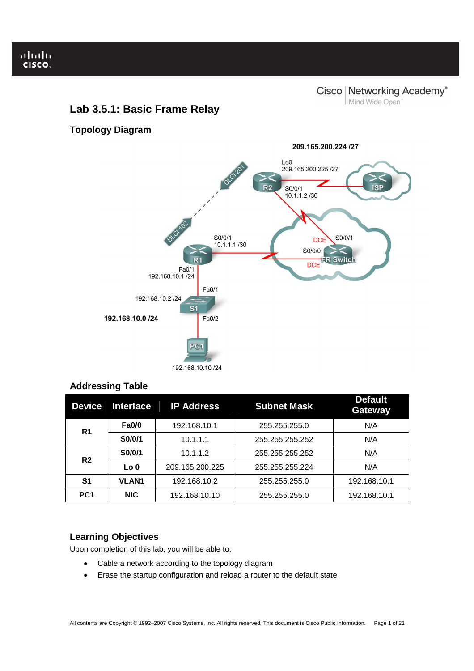Ï

Cisco | Networking Academy® Mind Wide Open<sup>"</sup>

# **Lab 3.5.1: Basic Frame Relay**

**Topology Diagram** 



# **Addressing Table**

| <b>Device</b>   | <b>Interface</b> | <b>IP Address</b> | <b>Subnet Mask</b> | <b>Default</b><br><b>Gateway</b> |
|-----------------|------------------|-------------------|--------------------|----------------------------------|
| R <sub>1</sub>  | <b>Fa0/0</b>     | 192.168.10.1      | 255.255.255.0      | N/A                              |
|                 | S0/0/1           | 10.1.1.1          | 255.255.255.252    | N/A                              |
| R <sub>2</sub>  | S0/0/1           | 10.1.1.2          | 255.255.255.252    | N/A                              |
|                 | Lo <sub>0</sub>  | 209.165.200.225   | 255.255.255.224    | N/A                              |
| S1              | <b>VLAN1</b>     | 192.168.10.2      | 255.255.255.0      | 192.168.10.1                     |
| PC <sub>1</sub> | <b>NIC</b>       | 192.168.10.10     | 255.255.255.0      | 192.168.10.1                     |

# **Learning Objectives**

Upon completion of this lab, you will be able to:

- Cable a network according to the topology diagram
- Erase the startup configuration and reload a router to the default state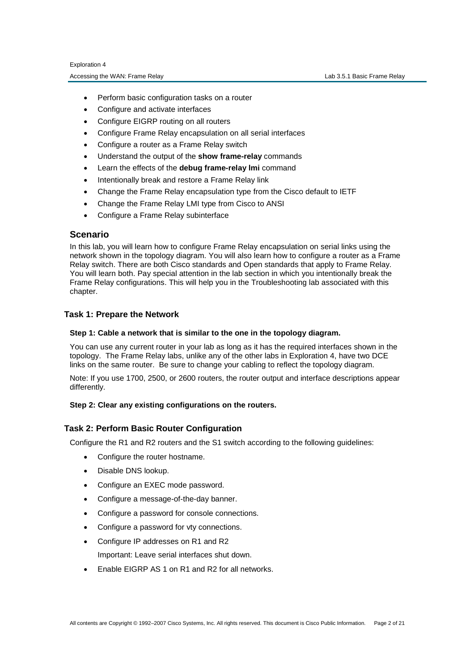- Perform basic configuration tasks on a router
- Configure and activate interfaces
- Configure EIGRP routing on all routers
- Configure Frame Relay encapsulation on all serial interfaces
- Configure a router as a Frame Relay switch
- Understand the output of the **show frame-relay** commands
- Learn the effects of the **debug frame-relay lmi** command
- Intentionally break and restore a Frame Relay link
- Change the Frame Relay encapsulation type from the Cisco default to IETF
- Change the Frame Relay LMI type from Cisco to ANSI
- Configure a Frame Relay subinterface

# **Scenario**

In this lab, you will learn how to configure Frame Relay encapsulation on serial links using the network shown in the topology diagram. You will also learn how to configure a router as a Frame Relay switch. There are both Cisco standards and Open standards that apply to Frame Relay. You will learn both. Pay special attention in the lab section in which you intentionally break the Frame Relay configurations. This will help you in the Troubleshooting lab associated with this chapter.

# **Task 1: Prepare the Network**

# **Step 1: Cable a network that is similar to the one in the topology diagram.**

You can use any current router in your lab as long as it has the required interfaces shown in the topology. The Frame Relay labs, unlike any of the other labs in Exploration 4, have two DCE links on the same router. Be sure to change your cabling to reflect the topology diagram.

Note: If you use 1700, 2500, or 2600 routers, the router output and interface descriptions appear differently.

# **Step 2: Clear any existing configurations on the routers.**

# **Task 2: Perform Basic Router Configuration**

Configure the R1 and R2 routers and the S1 switch according to the following guidelines:

- Configure the router hostname.
- Disable DNS lookup.
- Configure an EXEC mode password.
- Configure a message-of-the-day banner.
- Configure a password for console connections.
- Configure a password for vty connections.
- Configure IP addresses on R1 and R2 Important: Leave serial interfaces shut down.
- Enable EIGRP AS 1 on R1 and R2 for all networks.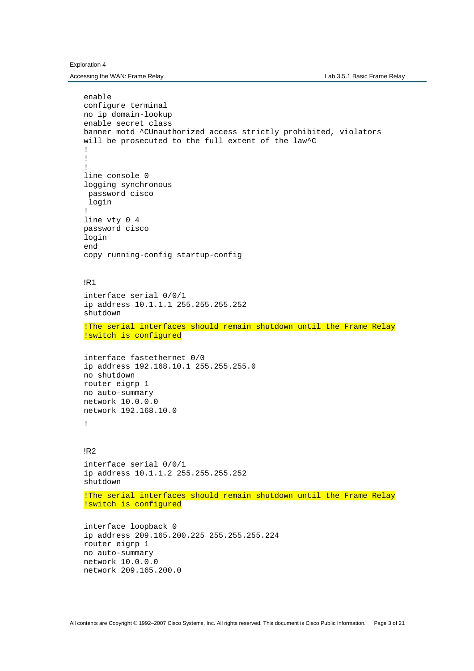Exploration 4

Accessing the WAN: Frame Relay **Lab 3.5.1 Basic Frame Relay** Lab 3.5.1 Basic Frame Relay

```
enable 
configure terminal 
no ip domain-lookup 
enable secret class 
banner motd ^CUnauthorized access strictly prohibited, violators 
will be prosecuted to the full extent of the law^C
! 
! 
! 
line console 0 
logging synchronous 
  password cisco 
 login 
! 
line vty 0 4 
password cisco 
login 
end 
copy running-config startup-config 
!R1 
interface serial 0/0/1 
ip address 10.1.1.1 255.255.255.252 
shutdown 
!The serial interfaces should remain shutdown until the Frame Relay 
!switch is configured 
interface fastethernet 0/0 
ip address 192.168.10.1 255.255.255.0 
no shutdown 
router eigrp 1 
no auto-summary 
network 10.0.0.0 
network 192.168.10.0 
! 
!R2 
interface serial 0/0/1 
ip address 10.1.1.2 255.255.255.252 
shutdown 
!The serial interfaces should remain shutdown until the Frame Relay 
!switch is configured 
interface loopback 0 
ip address 209.165.200.225 255.255.255.224 
router eigrp 1 
no auto-summary 
network 10.0.0.0 
network 209.165.200.0
```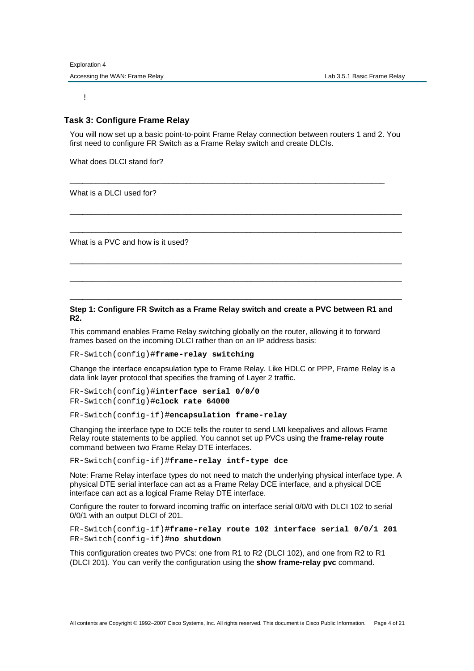!

# **Task 3: Configure Frame Relay**

You will now set up a basic point-to-point Frame Relay connection between routers 1 and 2. You first need to configure FR Switch as a Frame Relay switch and create DLCIs.

\_\_\_\_\_\_\_\_\_\_\_\_\_\_\_\_\_\_\_\_\_\_\_\_\_\_\_\_\_\_\_\_\_\_\_\_\_\_\_\_\_\_\_\_\_\_\_\_\_\_\_\_\_\_\_\_\_\_\_\_\_\_\_\_\_\_\_\_\_\_\_\_\_

\_\_\_\_\_\_\_\_\_\_\_\_\_\_\_\_\_\_\_\_\_\_\_\_\_\_\_\_\_\_\_\_\_\_\_\_\_\_\_\_\_\_\_\_\_\_\_\_\_\_\_\_\_\_\_\_\_\_\_\_\_\_\_\_\_\_\_\_\_\_\_\_\_\_\_\_\_

\_\_\_\_\_\_\_\_\_\_\_\_\_\_\_\_\_\_\_\_\_\_\_\_\_\_\_\_\_\_\_\_\_\_\_\_\_\_\_\_\_\_\_\_\_\_\_\_\_\_\_\_\_\_\_\_\_\_\_\_\_\_\_\_\_\_\_\_\_\_\_\_\_\_\_\_\_

\_\_\_\_\_\_\_\_\_\_\_\_\_\_\_\_\_\_\_\_\_\_\_\_\_\_\_\_\_\_\_\_\_\_\_\_\_\_\_\_\_\_\_\_\_\_\_\_\_\_\_\_\_\_\_\_\_\_\_\_\_\_\_\_\_\_\_\_\_\_\_\_\_\_\_\_\_

\_\_\_\_\_\_\_\_\_\_\_\_\_\_\_\_\_\_\_\_\_\_\_\_\_\_\_\_\_\_\_\_\_\_\_\_\_\_\_\_\_\_\_\_\_\_\_\_\_\_\_\_\_\_\_\_\_\_\_\_\_\_\_\_\_\_\_\_\_\_\_\_\_\_\_\_\_

\_\_\_\_\_\_\_\_\_\_\_\_\_\_\_\_\_\_\_\_\_\_\_\_\_\_\_\_\_\_\_\_\_\_\_\_\_\_\_\_\_\_\_\_\_\_\_\_\_\_\_\_\_\_\_\_\_\_\_\_\_\_\_\_\_\_\_\_\_\_\_\_\_\_\_\_\_

What does DLCI stand for?

What is a DLCI used for?

What is a PVC and how is it used?

# **Step 1: Configure FR Switch as a Frame Relay switch and create a PVC between R1 and R2.**

This command enables Frame Relay switching globally on the router, allowing it to forward frames based on the incoming DLCI rather than on an IP address basis:

FR-Switch(config)#**frame-relay switching**

Change the interface encapsulation type to Frame Relay. Like HDLC or PPP, Frame Relay is a data link layer protocol that specifies the framing of Layer 2 traffic.

FR-Switch(config)#**interface serial 0/0/0**  FR-Switch(config)#**clock rate 64000**

FR-Switch(config-if)#**encapsulation frame-relay**

Changing the interface type to DCE tells the router to send LMI keepalives and allows Frame Relay route statements to be applied. You cannot set up PVCs using the **frame-relay route** command between two Frame Relay DTE interfaces.

FR-Switch(config-if)#**frame-relay intf-type dce** 

Note: Frame Relay interface types do not need to match the underlying physical interface type. A physical DTE serial interface can act as a Frame Relay DCE interface, and a physical DCE interface can act as a logical Frame Relay DTE interface.

Configure the router to forward incoming traffic on interface serial 0/0/0 with DLCI 102 to serial 0/0/1 with an output DLCI of 201.

FR-Switch(config-if)#**frame-relay route 102 interface serial 0/0/1 201**  FR-Switch(config-if)#**no shutdown**

This configuration creates two PVCs: one from R1 to R2 (DLCI 102), and one from R2 to R1 (DLCI 201). You can verify the configuration using the **show frame-relay pvc** command.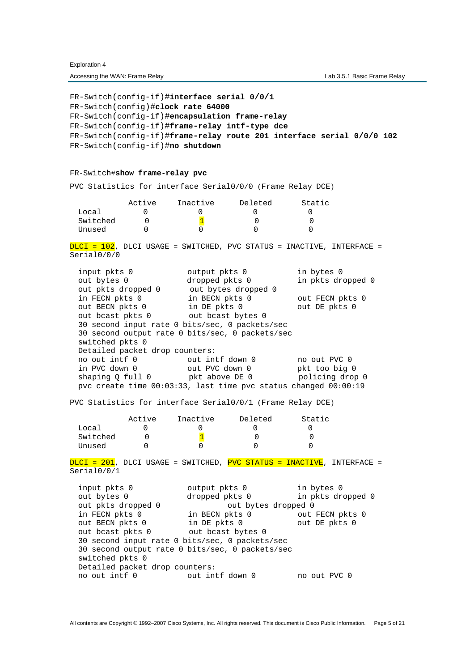FR-Switch(config-if)#**interface serial 0/0/1**  FR-Switch(config)#**clock rate 64000** FR-Switch(config-if)#**encapsulation frame-relay** FR-Switch(config-if)#**frame-relay intf-type dce** FR-Switch(config-if)#**frame-relay route 201 interface serial 0/0/0 102**  FR-Switch(config-if)#**no shutdown** FR-Switch#**show frame-relay pvc** PVC Statistics for interface Serial0/0/0 (Frame Relay DCE) Active Inactive Deleted Static Local 0 0 0 0 0 Switched  $0$   $\frac{1}{1}$  0 0 Unused 0 0 0 0 0 DLCI = 102, DLCI USAGE = SWITCHED, PVC STATUS = INACTIVE, INTERFACE = Serial0/0/0 input pkts 0 output pkts 0 in bytes 0 dropped pkts 0 in pkts dropped 0 out pkts dropped 0 out bytes dropped 0 in FECN pkts 0 in BECN pkts 0 out FECN pkts 0 out BECN pkts 0 in DE pkts 0 out DE pkts 0 out bcast pkts 0 out bcast bytes 0 30 second input rate 0 bits/sec, 0 packets/sec 30 second output rate 0 bits/sec, 0 packets/sec switched pkts 0 Detailed packet drop counters: no out intf 0 out intf down 0 no out PVC 0 in PVC down 0 out PVC down 0 pkt too big 0 shaping Q full 0 pkt above DE 0 policing drop 0 pvc create time 00:03:33, last time pvc status changed 00:00:19 PVC Statistics for interface Serial0/0/1 (Frame Relay DCE) Active Inactive Deleted Static Local 0 0 0 0 0 Switched  $0$   $\frac{1}{1}$  0 0 Unused 0 0 0 0 0 DLCI = 201, DLCI USAGE = SWITCHED, PVC STATUS = INACTIVE, INTERFACE = Serial0/0/1 input pkts 0 output pkts 0 in bytes 0 out bytes 0 dropped pkts 0 in pkts dropped 0 out pkts dropped 0 out bytes dropped 0 in FECN pkts 0 in BECN pkts 0 out FECN pkts 0 out BECN pkts 0 in DE pkts 0 out DE pkts 0 out bcast pkts 0 out bcast bytes 0 30 second input rate 0 bits/sec, 0 packets/sec 30 second output rate 0 bits/sec, 0 packets/sec switched pkts 0

no out intf 0 out intf down 0 no out PVC 0

Detailed packet drop counters: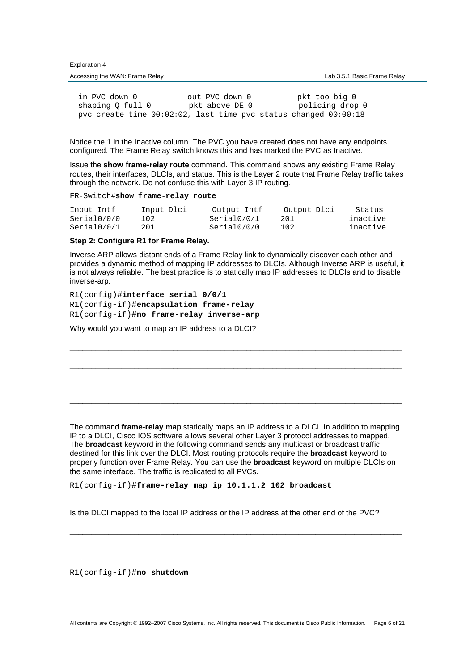| $ \sim$ $\sim$ $\sim$ $\sim$ $\sim$ |                             |
|-------------------------------------|-----------------------------|
| Accessing the WAN: Frame Relay      | Lab 3.5.1 Basic Frame Relay |

in PVC down 0 out PVC down 0 pkt too big 0<br>shaping Q full 0 pkt above DE 0 policing drop shaping Q full 0 pkt above DE 0 policing drop 0 pvc create time 00:02:02, last time pvc status changed 00:00:18

Notice the 1 in the Inactive column. The PVC you have created does not have any endpoints configured. The Frame Relay switch knows this and has marked the PVC as Inactive.

Issue the **show frame-relay route** command. This command shows any existing Frame Relay routes, their interfaces, DLCIs, and status. This is the Layer 2 route that Frame Relay traffic takes through the network. Do not confuse this with Layer 3 IP routing.

FR-Switch#**show frame-relay route**

Exploration 4

| Input Intf  | Input Dlci | Output Intf | Output Dlci | Status   |
|-------------|------------|-------------|-------------|----------|
| Serial0/0/0 | 102        | Serial0/0/1 | 201         | inactive |
| Serial0/0/1 | 201        | Serial0/0/0 | 102         | inactive |

# **Step 2: Configure R1 for Frame Relay.**

Inverse ARP allows distant ends of a Frame Relay link to dynamically discover each other and provides a dynamic method of mapping IP addresses to DLCIs. Although Inverse ARP is useful, it is not always reliable. The best practice is to statically map IP addresses to DLCIs and to disable inverse-arp.

\_\_\_\_\_\_\_\_\_\_\_\_\_\_\_\_\_\_\_\_\_\_\_\_\_\_\_\_\_\_\_\_\_\_\_\_\_\_\_\_\_\_\_\_\_\_\_\_\_\_\_\_\_\_\_\_\_\_\_\_\_\_\_\_\_\_\_\_\_\_\_\_\_\_\_\_\_

\_\_\_\_\_\_\_\_\_\_\_\_\_\_\_\_\_\_\_\_\_\_\_\_\_\_\_\_\_\_\_\_\_\_\_\_\_\_\_\_\_\_\_\_\_\_\_\_\_\_\_\_\_\_\_\_\_\_\_\_\_\_\_\_\_\_\_\_\_\_\_\_\_\_\_\_\_

\_\_\_\_\_\_\_\_\_\_\_\_\_\_\_\_\_\_\_\_\_\_\_\_\_\_\_\_\_\_\_\_\_\_\_\_\_\_\_\_\_\_\_\_\_\_\_\_\_\_\_\_\_\_\_\_\_\_\_\_\_\_\_\_\_\_\_\_\_\_\_\_\_\_\_\_\_

\_\_\_\_\_\_\_\_\_\_\_\_\_\_\_\_\_\_\_\_\_\_\_\_\_\_\_\_\_\_\_\_\_\_\_\_\_\_\_\_\_\_\_\_\_\_\_\_\_\_\_\_\_\_\_\_\_\_\_\_\_\_\_\_\_\_\_\_\_\_\_\_\_\_\_\_\_

R1(config)#**interface serial 0/0/1** R1(config-if)#**encapsulation frame-relay** R1(config-if)#**no frame-relay inverse-arp**

Why would you want to map an IP address to a DLCI?

The command **frame-relay map** statically maps an IP address to a DLCI. In addition to mapping IP to a DLCI, Cisco IOS software allows several other Layer 3 protocol addresses to mapped. The **broadcast** keyword in the following command sends any multicast or broadcast traffic destined for this link over the DLCI. Most routing protocols require the **broadcast** keyword to properly function over Frame Relay. You can use the **broadcast** keyword on multiple DLCIs on the same interface. The traffic is replicated to all PVCs.

R1(config-if)#**frame-relay map ip 10.1.1.2 102 broadcast** 

Is the DLCI mapped to the local IP address or the IP address at the other end of the PVC?

\_\_\_\_\_\_\_\_\_\_\_\_\_\_\_\_\_\_\_\_\_\_\_\_\_\_\_\_\_\_\_\_\_\_\_\_\_\_\_\_\_\_\_\_\_\_\_\_\_\_\_\_\_\_\_\_\_\_\_\_\_\_\_\_\_\_\_\_\_\_\_\_\_\_\_\_\_

R1(config-if)#**no shutdown**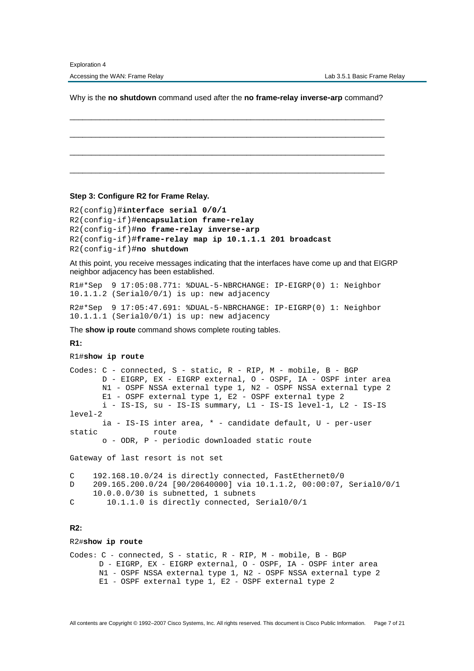Why is the **no shutdown** command used after the **no frame-relay inverse-arp** command?

\_\_\_\_\_\_\_\_\_\_\_\_\_\_\_\_\_\_\_\_\_\_\_\_\_\_\_\_\_\_\_\_\_\_\_\_\_\_\_\_\_\_\_\_\_\_\_\_\_\_\_\_\_\_\_\_\_\_\_\_\_\_\_\_\_\_\_\_\_\_\_\_\_

\_\_\_\_\_\_\_\_\_\_\_\_\_\_\_\_\_\_\_\_\_\_\_\_\_\_\_\_\_\_\_\_\_\_\_\_\_\_\_\_\_\_\_\_\_\_\_\_\_\_\_\_\_\_\_\_\_\_\_\_\_\_\_\_\_\_\_\_\_\_\_\_\_

\_\_\_\_\_\_\_\_\_\_\_\_\_\_\_\_\_\_\_\_\_\_\_\_\_\_\_\_\_\_\_\_\_\_\_\_\_\_\_\_\_\_\_\_\_\_\_\_\_\_\_\_\_\_\_\_\_\_\_\_\_\_\_\_\_\_\_\_\_\_\_\_\_

\_\_\_\_\_\_\_\_\_\_\_\_\_\_\_\_\_\_\_\_\_\_\_\_\_\_\_\_\_\_\_\_\_\_\_\_\_\_\_\_\_\_\_\_\_\_\_\_\_\_\_\_\_\_\_\_\_\_\_\_\_\_\_\_\_\_\_\_\_\_\_\_\_

**Step 3: Configure R2 for Frame Relay.** 

R2(config)#**interface serial 0/0/1** R2(config-if)#**encapsulation frame-relay** R2(config-if)#**no frame-relay inverse-arp** R2(config-if)#**frame-relay map ip 10.1.1.1 201 broadcast**  R2(config-if)#**no shutdown**

At this point, you receive messages indicating that the interfaces have come up and that EIGRP neighbor adjacency has been established.

R1#\*Sep 9 17:05:08.771: %DUAL-5-NBRCHANGE: IP-EIGRP(0) 1: Neighbor 10.1.1.2 (Serial0/0/1) is up: new adjacency

R2#\*Sep 9 17:05:47.691: %DUAL-5-NBRCHANGE: IP-EIGRP(0) 1: Neighbor 10.1.1.1 (Serial0/0/1) is up: new adjacency

The **show ip route** command shows complete routing tables.

### **R1:**

#### R1#**show ip route**

Codes: C - connected, S - static, R - RIP, M - mobile, B - BGP D - EIGRP, EX - EIGRP external, O - OSPF, IA - OSPF inter area N1 - OSPF NSSA external type 1, N2 - OSPF NSSA external type 2 E1 - OSPF external type 1, E2 - OSPF external type 2 i - IS-IS, su - IS-IS summary, L1 - IS-IS level-1, L2 - IS-IS level-2 ia - IS-IS inter area, \* - candidate default, U - per-user static route o - ODR, P - periodic downloaded static route Gateway of last resort is not set

C 192.168.10.0/24 is directly connected, FastEthernet0/0 D 209.165.200.0/24 [90/20640000] via 10.1.1.2, 00:00:07, Serial0/0/1 10.0.0.0/30 is subnetted, 1 subnets

# C 10.1.1.0 is directly connected, Serial0/0/1

#### **R2:**

#### R2#**show ip route**

Codes: C - connected, S - static, R - RIP, M - mobile, B - BGP D - EIGRP, EX - EIGRP external, O - OSPF, IA - OSPF inter area N1 - OSPF NSSA external type 1, N2 - OSPF NSSA external type 2 E1 - OSPF external type 1, E2 - OSPF external type 2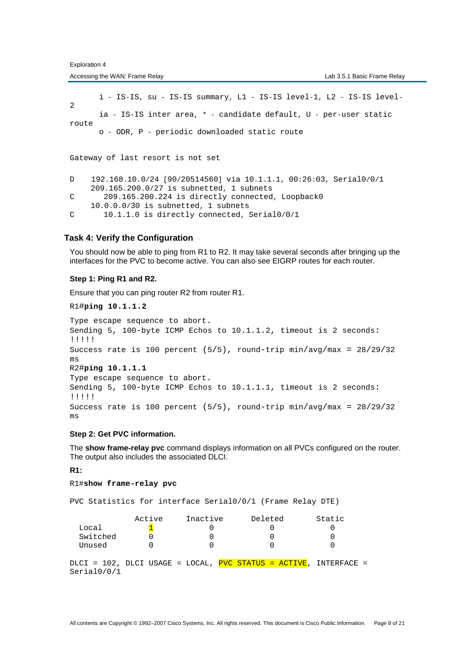Accessing the WAN: Frame Relay **Lab 3.5.1 Basic Frame Relay** Lab 3.5.1 Basic Frame Relay

 i - IS-IS, su - IS-IS summary, L1 - IS-IS level-1, L2 - IS-IS level-2 ia - IS-IS inter area, \* - candidate default, U - per-user static route o - ODR, P - periodic downloaded static route Gateway of last resort is not set D 192.168.10.0/24 [90/20514560] via 10.1.1.1, 00:26:03, Serial0/0/1 209.165.200.0/27 is subnetted, 1 subnets C 209.165.200.224 is directly connected, Loopback0 10.0.0.0/30 is subnetted, 1 subnets C 10.1.1.0 is directly connected, Serial0/0/1

# **Task 4: Verify the Configuration**

You should now be able to ping from R1 to R2. It may take several seconds after bringing up the interfaces for the PVC to become active. You can also see EIGRP routes for each router.

#### **Step 1: Ping R1 and R2.**

Ensure that you can ping router R2 from router R1.

R1#**ping 10.1.1.2**

```
Type escape sequence to abort. 
Sending 5, 100-byte ICMP Echos to 10.1.1.2, timeout is 2 seconds: 
!!!!! 
Success rate is 100 percent (5/5), round-trip min/avg/max = 28/29/32
ms
R2#ping 10.1.1.1
Type escape sequence to abort. 
Sending 5, 100-byte ICMP Echos to 10.1.1.1, timeout is 2 seconds: 
!!!!! 
Success rate is 100 percent (5/5), round-trip min/avg/max = 28/29/32ms
```
### **Step 2: Get PVC information.**

The **show frame-relay pvc** command displays information on all PVCs configured on the router. The output also includes the associated DLCI.

# **R1:**

#### R1#**show frame-relay pvc**

PVC Statistics for interface Serial0/0/1 (Frame Relay DTE)

| Local<br>Switched<br>Unused | Active | Inactive | Deleted | Static |
|-----------------------------|--------|----------|---------|--------|
| Serial0/0/1                 |        |          |         |        |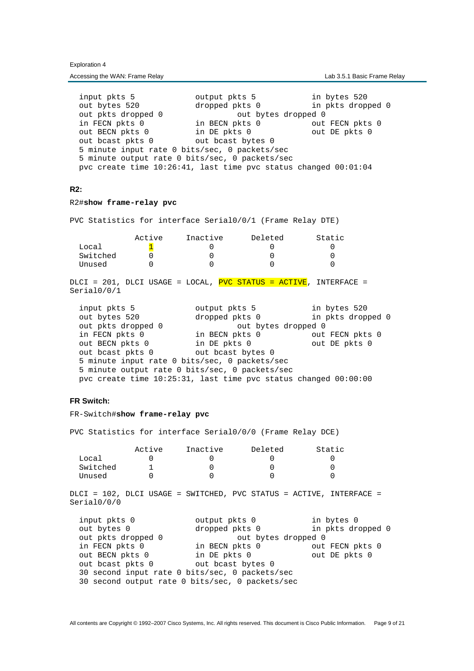input pkts 5 output pkts 5 in bytes 520 out bytes 520 dropped pkts 0 in pkts dropped 0 out bytes 520 dropped pkts 0 in pkts dropped 0<br>out pkts dropped 0 out bytes dropped 0 in FECN pkts 0 in BECN pkts 0 out FECN pkts 0 out BECN pkts 0 in DE pkts 0 out DE pkts 0 out bcast pkts 0 out bcast bytes 0 5 minute input rate 0 bits/sec, 0 packets/sec 5 minute output rate 0 bits/sec, 0 packets/sec pvc create time 10:26:41, last time pvc status changed 00:01:04

### **R2:**

#### R2#**show frame-relay pvc**

PVC Statistics for interface Serial0/0/1 (Frame Relay DTE)

|          | Active | Inactive | Deleted | Static |
|----------|--------|----------|---------|--------|
| Local    |        |          |         |        |
| Switched |        |          |         |        |
| Unused   |        |          |         |        |

DLCI = 201, DLCI USAGE = LOCAL, PVC STATUS = ACTIVE, INTERFACE = Serial0/0/1

| input pkts 5                                                         | output pkts 5       | in bytes 520      |
|----------------------------------------------------------------------|---------------------|-------------------|
| out bytes 520                                                        | dropped pkts 0      | in pkts dropped 0 |
| out pkts dropped 0                                                   | out bytes dropped 0 |                   |
| in FECN pkts 0                                                       | in BECN pkts 0      | out FECN pkts 0   |
| out BECN pkts 0                                                      | in DE pkts 0        | out DE pkts 0     |
| out beast pkts 0                                                     | out bcast bytes 0   |                   |
| 5 minute input rate 0 bits/sec, 0 packets/sec                        |                     |                   |
| 5 minute output rate 0 bits/sec, 0 packets/sec                       |                     |                   |
| pvc create time $10:25:31$ , last time pvc status changed $00:00:00$ |                     |                   |

# **FR Switch:**

#### FR-Switch#**show frame-relay pvc**

PVC Statistics for interface Serial0/0/0 (Frame Relay DCE)

|          | Active | Inactive | Deleted | Static |
|----------|--------|----------|---------|--------|
| Local    |        |          |         |        |
| Switched |        |          |         |        |
| Unused   |        |          |         |        |

DLCI = 102, DLCI USAGE = SWITCHED, PVC STATUS = ACTIVE, INTERFACE = Serial0/0/0

| output pkts 0                                   | in bytes 0        |
|-------------------------------------------------|-------------------|
| dropped pkts 0                                  | in pkts dropped 0 |
| out bytes dropped 0                             |                   |
| in BECN pkts 0                                  | out FECN pkts 0   |
| in DE pkts 0                                    | out DE pkts 0     |
| out beast bytes 0                               |                   |
| 30 second input rate 0 bits/sec, 0 packets/sec  |                   |
| 30 second output rate 0 bits/sec, 0 packets/sec |                   |
|                                                 |                   |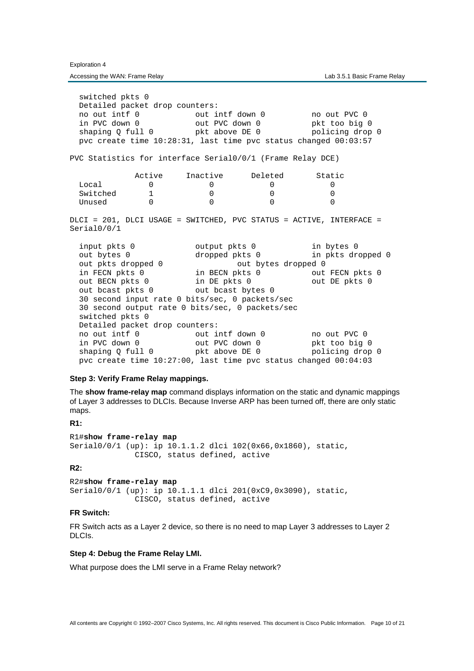Accessing the WAN: Frame Relay **Lab 3.5.1 Basic Frame Relay** Lab 3.5.1 Basic Frame Relay

 switched pkts 0 Detailed packet drop counters: no out intf 0 out intf down 0 no out PVC 0 in PVC down 0 out PVC down 0 pkt too big 0 shaping Q full 0 pkt above DE 0 policing drop 0 pvc create time 10:28:31, last time pvc status changed 00:03:57 PVC Statistics for interface Serial0/0/1 (Frame Relay DCE) Active Inactive Deleted Static Local 0 0 0 0 0  $\begin{array}{ccccccc}\n\text{Switched} & & 1 & & 0 & & 0 & & 0 \\
\text{Unused} & & 0 & & 0 & & 0 & & 0\n\end{array}$ Unused  $0$  0 0 0 DLCI = 201, DLCI USAGE = SWITCHED, PVC STATUS = ACTIVE, INTERFACE = Serial0/0/1 input pkts 0 output pkts 0 in bytes 0 out bytes 0 dropped pkts 0 in pkts dropped 0 out put pkts 0 out bytes 0 out bytes 0 out bytes dropped 0 out bytes dropped 0 out bytes dropped 0 out bytes dropped 0 out  $\frac{1}{2}$  out BECN pkts 0 out  $\frac{1}{2}$  out  $\frac{1}{2}$  out  $\frac{1}{2}$  out  $\frac{1}{2}$  out  $\frac{1}{2}$  out in BECN pkts 0 out FECN pkts 0 out BECN pkts 0 in DE pkts 0 out DE pkts 0 out bcast pkts 0 out bcast bytes 0 30 second input rate 0 bits/sec, 0 packets/sec 30 second output rate 0 bits/sec, 0 packets/sec switched pkts 0 Detailed packet drop counters: no out intf 0 out intf down 0 no out PVC 0 in PVC down 0 out PVC down 0 pkt too big 0<br>shaping Q full 0 pkt above DE 0 policing drop shaping Q full 0 pkt above DE 0 policing drop 0 pvc create time 10:27:00, last time pvc status changed 00:04:03

### **Step 3: Verify Frame Relay mappings.**

The **show frame-relay map** command displays information on the static and dynamic mappings of Layer 3 addresses to DLCIs. Because Inverse ARP has been turned off, there are only static maps.

# **R1:**

```
R1#show frame-relay map 
Serial0/0/1 (up): ip 10.1.1.2 dlci 102(0x66,0x1860), static, 
               CISCO, status defined, active
```
## **R2:**

R2#**show frame-relay map** Serial0/0/1 (up): ip 10.1.1.1 dlci 201(0xC9,0x3090), static, CISCO, status defined, active

# **FR Switch:**

FR Switch acts as a Layer 2 device, so there is no need to map Layer 3 addresses to Layer 2 DLCIs.

# **Step 4: Debug the Frame Relay LMI.**

What purpose does the LMI serve in a Frame Relay network?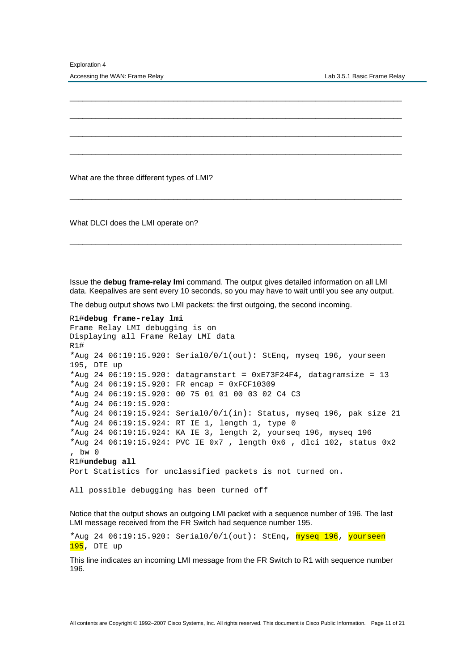What are the three different types of LMI?

What DLCI does the LMI operate on?

Issue the **debug frame-relay lmi** command. The output gives detailed information on all LMI data. Keepalives are sent every 10 seconds, so you may have to wait until you see any output.

\_\_\_\_\_\_\_\_\_\_\_\_\_\_\_\_\_\_\_\_\_\_\_\_\_\_\_\_\_\_\_\_\_\_\_\_\_\_\_\_\_\_\_\_\_\_\_\_\_\_\_\_\_\_\_\_\_\_\_\_\_\_\_\_\_\_\_\_\_\_\_\_\_\_\_\_\_

\_\_\_\_\_\_\_\_\_\_\_\_\_\_\_\_\_\_\_\_\_\_\_\_\_\_\_\_\_\_\_\_\_\_\_\_\_\_\_\_\_\_\_\_\_\_\_\_\_\_\_\_\_\_\_\_\_\_\_\_\_\_\_\_\_\_\_\_\_\_\_\_\_\_\_\_\_

\_\_\_\_\_\_\_\_\_\_\_\_\_\_\_\_\_\_\_\_\_\_\_\_\_\_\_\_\_\_\_\_\_\_\_\_\_\_\_\_\_\_\_\_\_\_\_\_\_\_\_\_\_\_\_\_\_\_\_\_\_\_\_\_\_\_\_\_\_\_\_\_\_\_\_\_\_

\_\_\_\_\_\_\_\_\_\_\_\_\_\_\_\_\_\_\_\_\_\_\_\_\_\_\_\_\_\_\_\_\_\_\_\_\_\_\_\_\_\_\_\_\_\_\_\_\_\_\_\_\_\_\_\_\_\_\_\_\_\_\_\_\_\_\_\_\_\_\_\_\_\_\_\_\_

\_\_\_\_\_\_\_\_\_\_\_\_\_\_\_\_\_\_\_\_\_\_\_\_\_\_\_\_\_\_\_\_\_\_\_\_\_\_\_\_\_\_\_\_\_\_\_\_\_\_\_\_\_\_\_\_\_\_\_\_\_\_\_\_\_\_\_\_\_\_\_\_\_\_\_\_\_

\_\_\_\_\_\_\_\_\_\_\_\_\_\_\_\_\_\_\_\_\_\_\_\_\_\_\_\_\_\_\_\_\_\_\_\_\_\_\_\_\_\_\_\_\_\_\_\_\_\_\_\_\_\_\_\_\_\_\_\_\_\_\_\_\_\_\_\_\_\_\_\_\_\_\_\_\_

The debug output shows two LMI packets: the first outgoing, the second incoming.

```
R1#debug frame-relay lmi
Frame Relay LMI debugging is on
Displaying all Frame Relay LMI data
R1# 
*Aug 24 06:19:15.920: Serial0/0/1(out): StEnq, myseq 196, yourseen
195, DTE up
*Aug 24 06:19:15.920: datagramstart = 0xE73F24F4, datagramsize = 13
*Aug 24 06:19:15.920: FR encap = 0xFCF10309
*Aug 24 06:19:15.920: 00 75 01 01 00 03 02 C4 C3
*Aug 24 06:19:15.920: 
*Aug 24 06:19:15.924: Serial0/0/1(in): Status, myseq 196, pak size 21
*Aug 24 06:19:15.924: RT IE 1, length 1, type 0
*Aug 24 06:19:15.924: KA IE 3, length 2, yourseq 196, myseq 196
*Aug 24 06:19:15.924: PVC IE 0x7 , length 0x6 , dlci 102, status 0x2
, bw 0
R1#undebug all
Port Statistics for unclassified packets is not turned on.
```
All possible debugging has been turned off

Notice that the output shows an outgoing LMI packet with a sequence number of 196. The last LMI message received from the FR Switch had sequence number 195.

\*Aug 24 06:19:15.920: Serial0/0/1(out): StEnq, myseq 196, yourseen  $195$ , DTE up

This line indicates an incoming LMI message from the FR Switch to R1 with sequence number 196.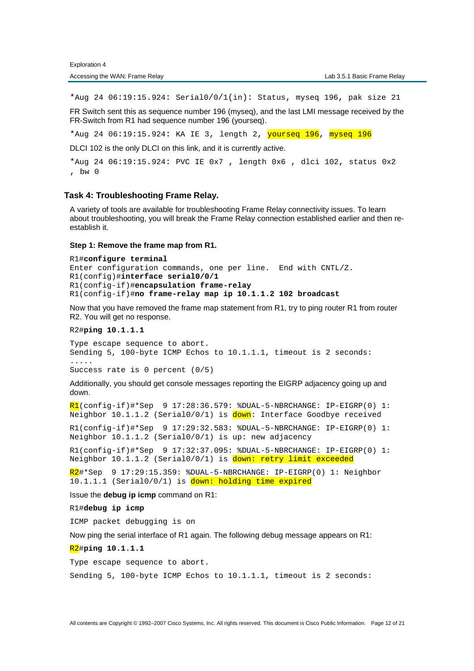\*Aug 24 06:19:15.924: Serial0/0/1(in): Status, myseq 196, pak size 21

FR Switch sent this as sequence number 196 (myseq), and the last LMI message received by the FR-Switch from R1 had sequence number 196 (yourseq).

\*Aug 24 06:19:15.924: KA IE 3, length 2, yourseq 196, myseq 196

DLCI 102 is the only DLCI on this link, and it is currently active.

\*Aug 24 06:19:15.924: PVC IE 0x7 , length 0x6 , dlci 102, status 0x2 , bw 0

# **Task 4: Troubleshooting Frame Relay.**

A variety of tools are available for troubleshooting Frame Relay connectivity issues. To learn about troubleshooting, you will break the Frame Relay connection established earlier and then reestablish it.

#### **Step 1: Remove the frame map from R1.**

```
R1#configure terminal
Enter configuration commands, one per line. End with CNTL/Z. 
R1(config)#interface serial0/0/1
R1(config-if)#encapsulation frame-relay
R1(config-if)#no frame-relay map ip 10.1.1.2 102 broadcast
```
Now that you have removed the frame map statement from R1, try to ping router R1 from router R2. You will get no response.

### R2#**ping 10.1.1.1**

Type escape sequence to abort. Sending 5, 100-byte ICMP Echos to 10.1.1.1, timeout is 2 seconds: ..... Success rate is 0 percent (0/5)

Additionally, you should get console messages reporting the EIGRP adjacency going up and down.

 $R1$ (config-if)#\*Sep 9 17:28:36.579: %DUAL-5-NBRCHANGE: IP-EIGRP(0) 1: Neighbor  $10.1.1.2$  (Serial0/0/1) is  $down$ : Interface Goodbye received

R1(config-if)#\*Sep 9 17:29:32.583: %DUAL-5-NBRCHANGE: IP-EIGRP(0) 1: Neighbor 10.1.1.2 (Serial0/0/1) is up: new adjacency

R1(config-if)#\*Sep 9 17:32:37.095: %DUAL-5-NBRCHANGE: IP-EIGRP(0) 1: Neighbor 10.1.1.2 (Serial0/0/1) is down: retry limit exceeded

R2#\*Sep 9 17:29:15.359: %DUAL-5-NBRCHANGE: IP-EIGRP(0) 1: Neighbor 10.1.1.1 (Serial0/0/1) is down: holding time expired

Issue the **debug ip icmp** command on R1:

R1#**debug ip icmp**

ICMP packet debugging is on

Now ping the serial interface of R1 again. The following debug message appears on R1:

#### R2#**ping 10.1.1.1**

Type escape sequence to abort.

Sending 5, 100-byte ICMP Echos to 10.1.1.1, timeout is 2 seconds: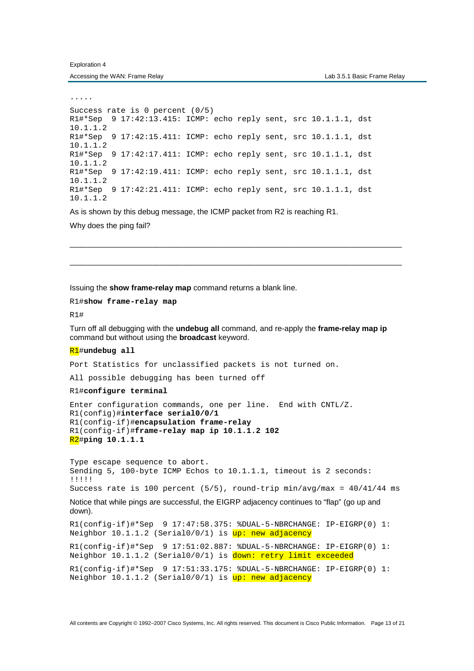.....

```
Success rate is 0 percent (0/5) 
R1#*Sep 9 17:42:13.415: ICMP: echo reply sent, src 10.1.1.1, dst 
10.1.1.2 
R1#*Sep 9 17:42:15.411: ICMP: echo reply sent, src 10.1.1.1, dst 
10.1.1.2 
R1#*Sep 9 17:42:17.411: ICMP: echo reply sent, src 10.1.1.1, dst 
10.1.1.2 
R1#*Sep 9 17:42:19.411: ICMP: echo reply sent, src 10.1.1.1, dst 
10.1.1.2 
R1#*Sep 9 17:42:21.411: ICMP: echo reply sent, src 10.1.1.1, dst 
10.1.1.2
```
As is shown by this debug message, the ICMP packet from R2 is reaching R1. Why does the ping fail?

Issuing the **show frame-relay map** command returns a blank line.

```
R1#show frame-relay map
```
R1#

Turn off all debugging with the **undebug all** command, and re-apply the **frame-relay map ip** command but without using the **broadcast** keyword.

\_\_\_\_\_\_\_\_\_\_\_\_\_\_\_\_\_\_\_\_\_\_\_\_\_\_\_\_\_\_\_\_\_\_\_\_\_\_\_\_\_\_\_\_\_\_\_\_\_\_\_\_\_\_\_\_\_\_\_\_\_\_\_\_\_\_\_\_\_\_\_\_\_\_\_\_\_

\_\_\_\_\_\_\_\_\_\_\_\_\_\_\_\_\_\_\_\_\_\_\_\_\_\_\_\_\_\_\_\_\_\_\_\_\_\_\_\_\_\_\_\_\_\_\_\_\_\_\_\_\_\_\_\_\_\_\_\_\_\_\_\_\_\_\_\_\_\_\_\_\_\_\_\_\_

#### R1#**undebug all**

Port Statistics for unclassified packets is not turned on.

All possible debugging has been turned off

R1#**configure terminal**

Enter configuration commands, one per line. End with CNTL/Z. R1(config)#**interface serial0/0/1** R1(config-if)#**encapsulation frame-relay** R1(config-if)#**frame-relay map ip 10.1.1.2 102**  R2#**ping 10.1.1.1**

Type escape sequence to abort. Sending 5, 100-byte ICMP Echos to 10.1.1.1, timeout is 2 seconds: !!!!! Success rate is 100 percent (5/5), round-trip min/avg/max = 40/41/44 ms

Notice that while pings are successful, the EIGRP adjacency continues to "flap" (go up and down).

```
R1(config-if)#*Sep 9 17:47:58.375: %DUAL-5-NBRCHANGE: IP-EIGRP(0) 1: 
Neighbor 10.1.1.2 (Serial0/0/1) is up: new adjacency
```
R1(config-if)#\*Sep 9 17:51:02.887: %DUAL-5-NBRCHANGE: IP-EIGRP(0) 1: Neighbor 10.1.1.2 (Serial0/0/1) is down: retry limit exceeded

```
R1(config-if)#*Sep 9 17:51:33.175: %DUAL-5-NBRCHANGE: IP-EIGRP(0) 1: 
Neighbor 10.1.1.2 (Serial0/0/1) is up: new adjacency
```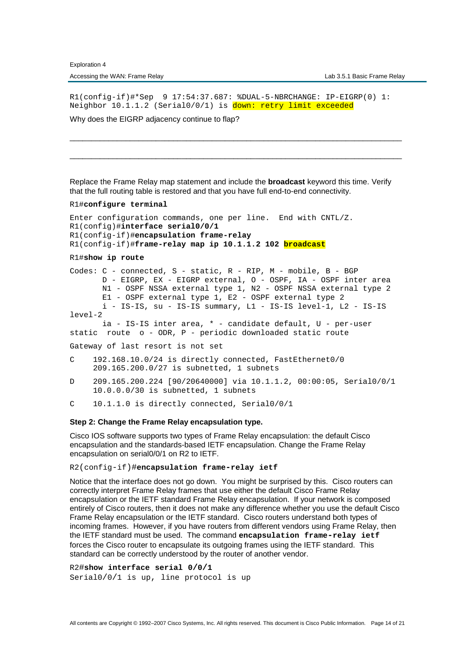R1(config-if)#\*Sep 9 17:54:37.687: %DUAL-5-NBRCHANGE: IP-EIGRP(0) 1: Neighbor 10.1.1.2 (Serial0/0/1) is down: retry limit exceeded

\_\_\_\_\_\_\_\_\_\_\_\_\_\_\_\_\_\_\_\_\_\_\_\_\_\_\_\_\_\_\_\_\_\_\_\_\_\_\_\_\_\_\_\_\_\_\_\_\_\_\_\_\_\_\_\_\_\_\_\_\_\_\_\_\_\_\_\_\_\_\_\_\_\_\_\_\_

\_\_\_\_\_\_\_\_\_\_\_\_\_\_\_\_\_\_\_\_\_\_\_\_\_\_\_\_\_\_\_\_\_\_\_\_\_\_\_\_\_\_\_\_\_\_\_\_\_\_\_\_\_\_\_\_\_\_\_\_\_\_\_\_\_\_\_\_\_\_\_\_\_\_\_\_\_

Why does the EIGRP adjacency continue to flap?

Replace the Frame Relay map statement and include the **broadcast** keyword this time. Verify that the full routing table is restored and that you have full end-to-end connectivity.

### R1#**configure terminal**

```
Enter configuration commands, one per line. End with CNTL/Z. 
R1(config)#interface serial0/0/1
R1(config-if)#encapsulation frame-relay
R1(config-if)#frame-relay map ip 10.1.1.2 102 broadcast
```
R1#**show ip route**

Codes: C - connected, S - static, R - RIP, M - mobile, B - BGP D - EIGRP, EX - EIGRP external, O - OSPF, IA - OSPF inter area N1 - OSPF NSSA external type 1, N2 - OSPF NSSA external type 2 E1 - OSPF external type 1, E2 - OSPF external type 2 i - IS-IS, su - IS-IS summary, L1 - IS-IS level-1, L2 - IS-IS  $lenP-2$  ia - IS-IS inter area, \* - candidate default, U - per-user static route o - ODR, P - periodic downloaded static route Gateway of last resort is not set C 192.168.10.0/24 is directly connected, FastEthernet0/0 209.165.200.0/27 is subnetted, 1 subnets D 209.165.200.224 [90/20640000] via 10.1.1.2, 00:00:05, Serial0/0/1 10.0.0.0/30 is subnetted, 1 subnets C 10.1.1.0 is directly connected, Serial0/0/1

**Step 2: Change the Frame Relay encapsulation type.** 

Cisco IOS software supports two types of Frame Relay encapsulation: the default Cisco encapsulation and the standards-based IETF encapsulation. Change the Frame Relay encapsulation on serial0/0/1 on R2 to IETF.

R2(config-if)#**encapsulation frame-relay ietf**

Notice that the interface does not go down. You might be surprised by this. Cisco routers can correctly interpret Frame Relay frames that use either the default Cisco Frame Relay encapsulation or the IETF standard Frame Relay encapsulation. If your network is composed entirely of Cisco routers, then it does not make any difference whether you use the default Cisco Frame Relay encapsulation or the IETF standard. Cisco routers understand both types of incoming frames. However, if you have routers from different vendors using Frame Relay, then the IETF standard must be used. The command **encapsulation frame-relay ietf**  forces the Cisco router to encapsulate its outgoing frames using the IETF standard. This standard can be correctly understood by the router of another vendor.

R2#**show interface serial 0/0/1** Serial0/0/1 is up, line protocol is up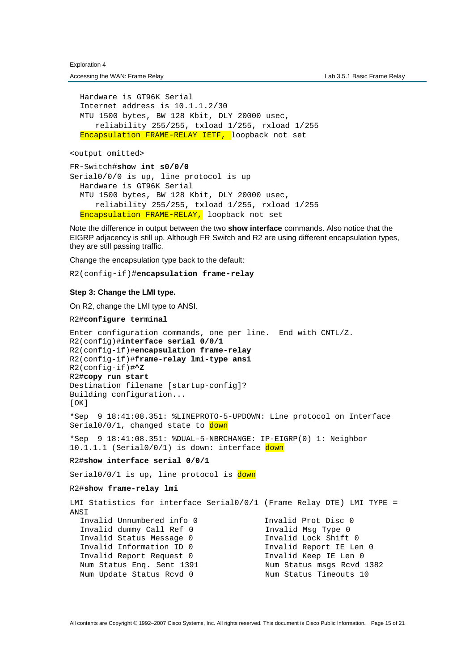Hardware is GT96K Serial Internet address is 10.1.1.2/30 MTU 1500 bytes, BW 128 Kbit, DLY 20000 usec, reliability 255/255, txload 1/255, rxload 1/255 Encapsulation FRAME-RELAY IETF, loopback not set

<output omitted>

FR-Switch#**show int s0/0/0** Serial0/0/0 is up, line protocol is up Hardware is GT96K Serial MTU 1500 bytes, BW 128 Kbit, DLY 20000 usec, reliability 255/255, txload 1/255, rxload 1/255 Encapsulation FRAME-RELAY, loopback not set

Note the difference in output between the two **show interface** commands. Also notice that the EIGRP adjacency is still up. Although FR Switch and R2 are using different encapsulation types, they are still passing traffic.

Change the encapsulation type back to the default:

R2(config-if)#**encapsulation frame-relay**

#### **Step 3: Change the LMI type.**

On R2, change the LMI type to ANSI.

R2#**configure terminal**

```
Enter configuration commands, one per line. End with CNTL/Z. 
R2(config)#interface serial 0/0/1
R2(config-if)#encapsulation frame-relay
R2(config-if)#frame-relay lmi-type ansi
R2(config-if)#^Z
R2#copy run start
Destination filename [startup-config]? 
Building configuration... 
[OK] 
*Sep 9 18:41:08.351: %LINEPROTO-5-UPDOWN: Line protocol on Interface 
Serial0/0/1, changed state to down
*Sep 9 18:41:08.351: %DUAL-5-NBRCHANGE: IP-EIGRP(0) 1: Neighbor 
10.1.1.1 (Serial0/0/1) is down: interface down
R2#show interface serial 0/0/1
Serial0/0/1 is up, line protocol is down
R2#show frame-relay lmi
LMI Statistics for interface Serial0/0/1 (Frame Relay DTE) LMI TYPE = 
ANST
   Invalid Unnumbered info 0 Invalid Prot Disc 0
   Invalid dummy Call Ref 0 Invalid Msg Type 0
   Invalid Status Message 0 Invalid Lock Shift 0
   Invalid Information ID 0 Invalid Report IE Len 0
   Invalid Report Request 0 Invalid Keep IE Len 0
   Num Status Enq. Sent 1391 Num Status msgs Rcvd 1382
  Num Update Status Rcvd 0 Num Status Timeouts 10
```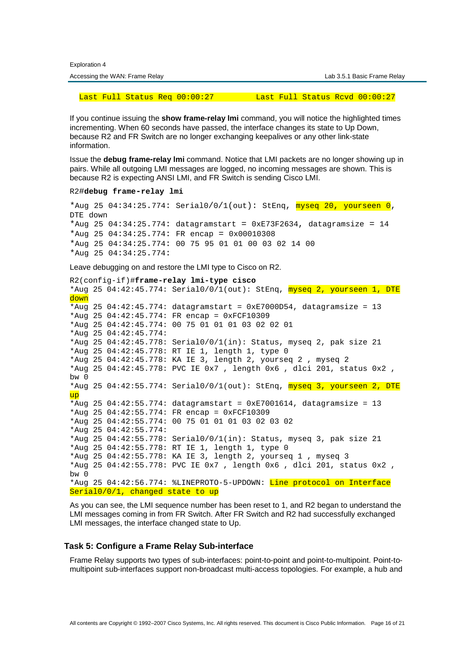|  | <b>Exploration 4</b> |  |
|--|----------------------|--|
|--|----------------------|--|

| Accessing the WAN: Frame Relay | Lab 3.5.1 Basic Frame Relay |
|--------------------------------|-----------------------------|

Last Full Status Req 00:00:27 Last Full Status Rcvd 00:00:27

If you continue issuing the **show frame-relay lmi** command, you will notice the highlighted times incrementing. When 60 seconds have passed, the interface changes its state to Up Down, because R2 and FR Switch are no longer exchanging keepalives or any other link-state information.

Issue the **debug frame-relay lmi** command. Notice that LMI packets are no longer showing up in pairs. While all outgoing LMI messages are logged, no incoming messages are shown. This is because R2 is expecting ANSI LMI, and FR Switch is sending Cisco LMI.

R2#**debug frame-relay lmi**

```
*Aug 25 04:34:25.774: Serial0/0/1(out): StEnq, myseq 20, yourseen 0,
DTE down
*Aug 25 04:34:25.774: datagramstart = 0 \timesE73F2634, datagramsize = 14
*Aug 25 04:34:25.774: FR encap = 0x00010308*Aug 25 04:34:25.774: 00 75 95 01 01 00 03 02 14 00
*Aug 25 04:34:25.774:
```
Leave debugging on and restore the LMI type to Cisco on R2.

```
R2(config-if)#frame-relay lmi-type cisco
*Aug 25 04:42:45.774: Serial0/0/1(out): StEnq, myseq 2, yourseen 1, DTE
down 
*Aug 25 04:42:45.774: datagramstart = 0 \times E7000DB4, datagramsize = 13
*Aug 25 04:42:45.774: FR encap = 0xFCF10309 
*Aug 25 04:42:45.774: 00 75 01 01 01 03 02 02 01 
*Aug 25 04:42:45.774: 
*Aug 25 04:42:45.778: Serial0/0/1(in): Status, myseq 2, pak size 21 
*Aug 25 04:42:45.778: RT IE 1, length 1, type 0 
*Aug 25 04:42:45.778: KA IE 3, length 2, yourseq 2 , myseq 2 
*Aug 25 04:42:45.778: PVC IE 0x7 , length 0x6 , dlci 201, status 0x2 , 
bw 0 
*Aug 25 04:42:55.774: Serial0/0/1(out): StEng, myseq 3, yourseen 2, DTE
up 
*Aug 25 04:42:55.774: datagramstart = 0xE7001614, datagramsize = 13
*Aug 25 04:42:55.774: FR encap = 0xFCF10309 
*Aug 25 04:42:55.774: 00 75 01 01 01 03 02 03 02 
*Aug 25 04:42:55.774: 
*Aug 25 04:42:55.778: Serial0/0/1(in): Status, myseq 3, pak size 21 
*Aug 25 04:42:55.778: RT IE 1, length 1, type 0 
*Aug 25 04:42:55.778: KA IE 3, length 2, yourseq 1 , myseq 3 
*Aug 25 04:42:55.778: PVC IE 0x7 , length 0x6 , dlci 201, status 0x2 , 
bw 0 
*Aug 25 04:42:56.774: %LINEPROTO-5-UPDOWN: Line protocol on Interface 
Serial0/0/1, changed state to up
```
As you can see, the LMI sequence number has been reset to 1, and R2 began to understand the LMI messages coming in from FR Switch. After FR Switch and R2 had successfully exchanged LMI messages, the interface changed state to Up.

### **Task 5: Configure a Frame Relay Sub-interface**

Frame Relay supports two types of sub-interfaces: point-to-point and point-to-multipoint. Point-tomultipoint sub-interfaces support non-broadcast multi-access topologies. For example, a hub and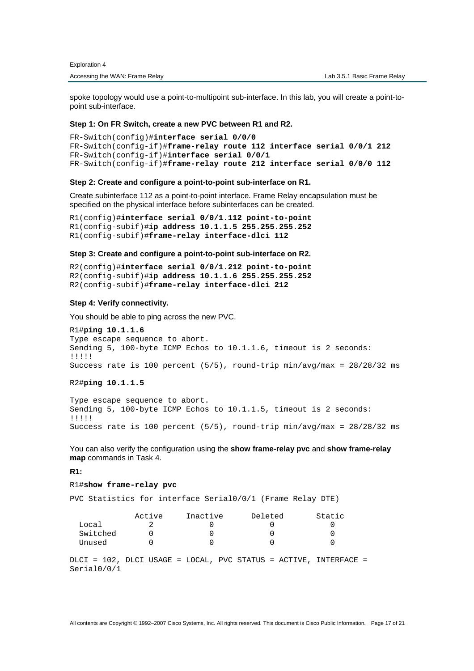spoke topology would use a point-to-multipoint sub-interface. In this lab, you will create a point-topoint sub-interface.

# **Step 1: On FR Switch, create a new PVC between R1 and R2.**

```
FR-Switch(config)#interface serial 0/0/0
FR-Switch(config-if)#frame-relay route 112 interface serial 0/0/1 212
FR-Switch(config-if)#interface serial 0/0/1 
FR-Switch(config-if)#frame-relay route 212 interface serial 0/0/0 112
```
## **Step 2: Create and configure a point-to-point sub-interface on R1.**

Create subinterface 112 as a point-to-point interface. Frame Relay encapsulation must be specified on the physical interface before subinterfaces can be created.

```
R1(config)#interface serial 0/0/1.112 point-to-point 
R1(config-subif)#ip address 10.1.1.5 255.255.255.252
R1(config-subif)#frame-relay interface-dlci 112
```
#### **Step 3: Create and configure a point-to-point sub-interface on R2.**

```
R2(config)#interface serial 0/0/1.212 point-to-point
R2(config-subif)#ip address 10.1.1.6 255.255.255.252
R2(config-subif)#frame-relay interface-dlci 212
```
#### **Step 4: Verify connectivity.**

You should be able to ping across the new PVC.

```
R1#ping 10.1.1.6
Type escape sequence to abort. 
Sending 5, 100-byte ICMP Echos to 10.1.1.6, timeout is 2 seconds: 
!!!!! 
Success rate is 100 percent (5/5), round-trip min/avg/max = 28/28/32 ms
```
R2#**ping 10.1.1.5**

Type escape sequence to abort. Sending 5, 100-byte ICMP Echos to 10.1.1.5, timeout is 2 seconds: !!!!! Success rate is 100 percent (5/5), round-trip min/avg/max = 28/28/32 ms

You can also verify the configuration using the **show frame-relay pvc** and **show frame-relay map** commands in Task 4.

### **R1:**

#### R1#**show frame-relay pvc**

PVC Statistics for interface Serial0/0/1 (Frame Relay DTE)

|          | Active | Inactive | Deleted                                                          | Static |
|----------|--------|----------|------------------------------------------------------------------|--------|
| Local    |        |          |                                                                  |        |
| Switched |        |          |                                                                  |        |
| Unused   |        |          |                                                                  |        |
|          |        |          |                                                                  |        |
|          |        |          | DLCI = 102, DLCI USAGE = LOCAL, PVC STATUS = ACTIVE, INTERFACE = |        |

Serial0/0/1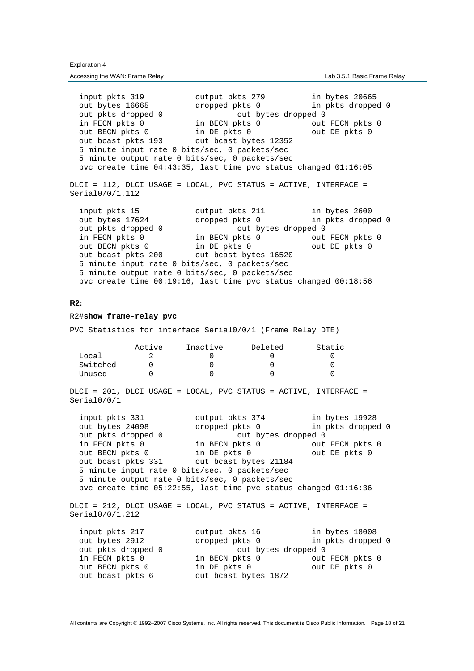input pkts 319 output pkts 279 in bytes 20665 out bytes 16665 dropped pkts 0 in pkts dropped 0 out pkts dropped 0 out bytes dropped 0 in FECN pkts 0 in BECN pkts 0 out FECN pkts 0 out BECN pkts 0 in DE pkts 0 out DE pkts 0 out bcast pkts 193 out bcast bytes 12352 5 minute input rate 0 bits/sec, 0 packets/sec 5 minute output rate 0 bits/sec, 0 packets/sec pvc create time 04:43:35, last time pvc status changed 01:16:05 DLCI = 112, DLCI USAGE = LOCAL, PVC STATUS = ACTIVE, INTERFACE = Serial0/0/1.112 input pkts 15 output pkts 211 in bytes 2600 out bytes 17624 dropped pkts 0 in pkts dropped 0 out pkts dropped 0 out bytes dropped 0 in FECN pkts 0 in BECN pkts 0 out FECN pkts 0<br>
out BECN pkts 0 in DE pkts 0 out DE pkts 0 out BECN pkts 0 in DE pkts 0 out DE pkts 0 out bcast pkts 200 out bcast bytes 16520 5 minute input rate 0 bits/sec, 0 packets/sec 5 minute output rate 0 bits/sec, 0 packets/sec pvc create time 00:19:16, last time pvc status changed 00:18:56

### **R2:**

#### R2#**show frame-relay pvc**

PVC Statistics for interface Serial0/0/1 (Frame Relay DTE)

|          | Active | Inactive | Deleted | Static |
|----------|--------|----------|---------|--------|
| Local    |        |          |         |        |
| Switched |        |          |         |        |
| Unused   |        |          |         |        |

DLCI = 201, DLCI USAGE = LOCAL, PVC STATUS = ACTIVE, INTERFACE = Serial0/0/1

| input pkts 331                                                  | output pkts 374       | in bytes 19928    |  |  |  |
|-----------------------------------------------------------------|-----------------------|-------------------|--|--|--|
| out bytes 24098                                                 | dropped pkts 0        | in pkts dropped 0 |  |  |  |
| out pkts dropped 0                                              | out bytes dropped 0   |                   |  |  |  |
| in FECN pkts 0                                                  | in BECN pkts 0        | out FECN pkts 0   |  |  |  |
| out BECN pkts 0                                                 | in DE pkts 0          | out DE pkts 0     |  |  |  |
| out beast pkts 331                                              | out bcast bytes 21184 |                   |  |  |  |
| 5 minute input rate 0 bits/sec, 0 packets/sec                   |                       |                   |  |  |  |
| 5 minute output rate 0 bits/sec, 0 packets/sec                  |                       |                   |  |  |  |
| pvc create time 05:22:55, last time pvc status changed 01:16:36 |                       |                   |  |  |  |

DLCI = 212, DLCI USAGE = LOCAL, PVC STATUS = ACTIVE, INTERFACE = Serial0/0/1.212

| input pkts 217     | output pkts 16       | in bytes 18008    |
|--------------------|----------------------|-------------------|
| out bytes 2912     | dropped pkts 0       | in pkts dropped 0 |
| out pkts dropped 0 | out bytes dropped 0  |                   |
| in FECN pkts 0     | in BECN pkts 0       | out FECN pkts 0   |
| out BECN pkts 0    | in DE pkts 0         | out DE pkts 0     |
| out beast pkts 6   | out bcast bytes 1872 |                   |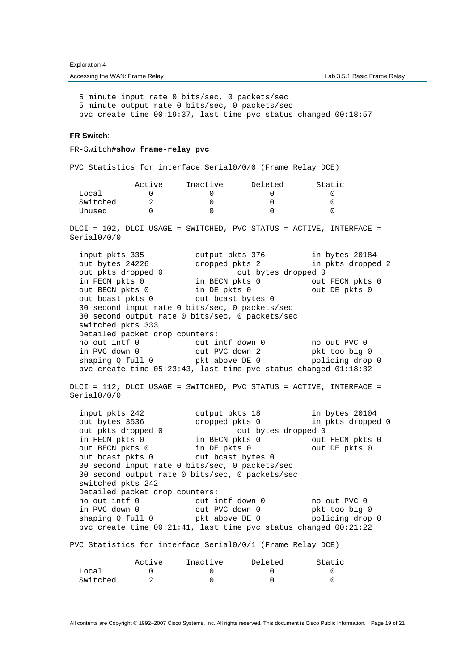Accessing the WAN: Frame Relay and the WAN: Frame Relay Lab 3.5.1 Basic Frame Relay

 5 minute input rate 0 bits/sec, 0 packets/sec 5 minute output rate 0 bits/sec, 0 packets/sec pvc create time 00:19:37, last time pvc status changed 00:18:57

### **FR Switch**:

FR-Switch#**show frame-relay pvc**

PVC Statistics for interface Serial0/0/0 (Frame Relay DCE)

 Active Inactive Deleted Static Local 0 0 0 0 0 0 Switched 2 0 0 0 0 Unused the  $0$  of  $0$  of  $0$  of  $0$  of  $0$  of  $0$  of  $0$  of  $0$  of  $0$  of  $0$  of  $0$  of  $0$  of  $0$  of  $0$  of  $0$  of  $0$  of  $0$  of  $0$  of  $0$  of  $0$  of  $0$  of  $0$  of  $0$  of  $0$  of  $0$  of  $0$  of  $0$  of  $0$  of  $0$  of  $0$  of DLCI = 102, DLCI USAGE = SWITCHED, PVC STATUS = ACTIVE, INTERFACE = Serial0/0/0 input pkts 335 output pkts 376 in bytes 20184 out bytes 24226 dropped pkts 2 in pkts dropped 2 out bytes 24226 out bytes 24226 out bytes 24226 out bytes dropped 0 out bytes dropped 0 in FECN pkts 0 in BECN pkts 0 out FECN pkts 0 out BECN pkts 0 in DE pkts 0 out DE pkts 0 out bcast pkts 0 out bcast bytes 0 30 second input rate 0 bits/sec, 0 packets/sec 30 second output rate 0 bits/sec, 0 packets/sec switched pkts 333 Detailed packet drop counters: no out intf 0 out intf down 0 no out PVC 0<br>in PVC down 0 out PVC down 2 pkt too big in PVC down 0 out PVC down 2 pkt too big 0 shaping Q full 0 pkt above DE 0 policing drop 0 pvc create time 05:23:43, last time pvc status changed 01:18:32 DLCI = 112, DLCI USAGE = SWITCHED, PVC STATUS = ACTIVE, INTERFACE = Serial0/0/0 input pkts 242 output pkts 18 in bytes 20104<br>
out bytes 3536 dropped pkts 0 in pkts droppee dropped pkts 0 in pkts dropped 0 out pkts dropped 0 out bytes dropped 0 in FECN pkts 0 in BECN pkts 0 out FECN pkts 0 out BECN pkts 0 in DE pkts 0 out DE pkts 0 out bcast pkts 0 out bcast bytes 0 30 second input rate 0 bits/sec, 0 packets/sec 30 second output rate 0 bits/sec, 0 packets/sec switched pkts 242 Detailed packet drop counters: no out intf 0 out intf down 0 no out PVC 0 in PVC down 0 out PVC down 0 pkt too big 0 shaping Q full 0 pkt above DE 0 policing drop 0 pvc create time 00:21:41, last time pvc status changed 00:21:22 PVC Statistics for interface Serial0/0/1 (Frame Relay DCE) Active Inactive Deleted Static Local 0 0 0 0 0

All contents are Copyright © 1992–2007 Cisco Systems, Inc. All rights reserved. This document is Cisco Public Information. Page 19 of 21

Switched 2 0 0 0 0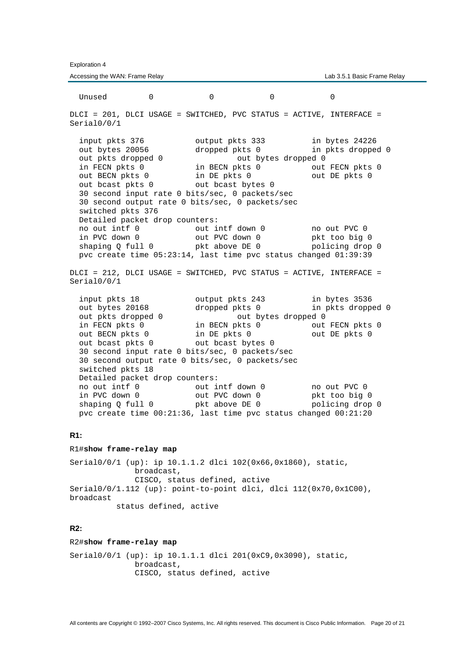Accessing the WAN: Frame Relay **Lab 3.5.1 Basic Frame Relay** Lab 3.5.1 Basic Frame Relay Unused the  $0$  of  $0$  of  $0$  of  $0$  of  $0$  of  $0$  of  $0$  of  $0$  of  $0$  of  $0$  of  $0$  of  $0$  of  $0$  of  $0$  of  $0$  of  $0$  of  $0$  of  $0$  of  $0$  of  $0$  of  $0$  of  $0$  of  $0$  of  $0$  of  $0$  of  $0$  of  $0$  of  $0$  of  $0$  of  $0$  of DLCI = 201, DLCI USAGE = SWITCHED, PVC STATUS = ACTIVE, INTERFACE = Serial0/0/1 input pkts 376 output pkts 333 in bytes 24226 out bytes 20056 dropped pkts 0 in pkts dropped 0 out pkts dropped 0 out bytes dropped 0 in FECN pkts 0 in BECN pkts 0 out FECN pkts 0 out BECN pkts 0 in DE pkts 0 out DE pkts 0 out bcast pkts 0 out bcast bytes 0 30 second input rate 0 bits/sec, 0 packets/sec 30 second output rate 0 bits/sec, 0 packets/sec switched pkts 376 Detailed packet drop counters:<br>no out intf 0 out i out intf down 0 no out PVC 0 in PVC down 0 out PVC down 0 pkt too big 0<br>
shaping Q full 0 pkt above DE 0 policing drop shaping Q full  $0$  pkt above DE 0 policing drop 0 pvc create time 05:23:14, last time pvc status changed 01:39:39 DLCI = 212, DLCI USAGE = SWITCHED, PVC STATUS = ACTIVE, INTERFACE = Serial0/0/1 input pkts 18 output pkts 243 in bytes 3536 out bytes 20168 dropped pkts 0 in pkts dropped 0 out bytes 20168 out bytes 20168 out bytes dropped 0 out bytes dropped 0 in FECN pkts 0 in BECN pkts 0 out FECN pkts 0 out BECN pkts 0 in DE pkts 0 out DE pkts 0 out bcast pkts 0 out bcast bytes 0 30 second input rate 0 bits/sec, 0 packets/sec 30 second output rate 0 bits/sec, 0 packets/sec switched pkts 18 Detailed packet drop counters: no out intf 0 out intf down 0 no out PVC 0 in PVC down 0 out PVC down 0 pkt too big 0 shaping Q full 0 pkt above DE 0 policing drop 0 pvc create time 00:21:36, last time pvc status changed 00:21:20 **R1:**  R1#**show frame-relay map**

Serial0/0/1 (up): ip 10.1.1.2 dlci 102(0x66,0x1860), static, broadcast, CISCO, status defined, active Serial0/0/1.112 (up): point-to-point dlci, dlci 112(0x70,0x1C00), broadcast

status defined, active

# **R2:**

R2#**show frame-relay map**

Serial0/0/1 (up): ip 10.1.1.1 dlci 201(0xC9,0x3090), static, broadcast, CISCO, status defined, active